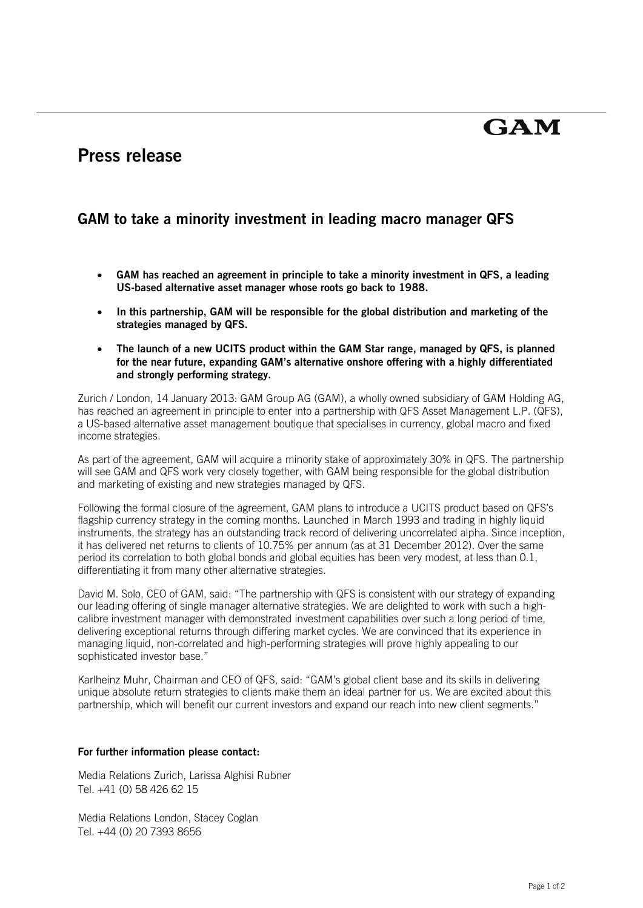# **GAM**

## **Press release**

### **GAM to take a minority investment in leading macro manager QFS**

- **GAM has reached an agreement in principle to take a minority investment in QFS, a leading US-based alternative asset manager whose roots go back to 1988.**
- **In this partnership, GAM will be responsible for the global distribution and marketing of the strategies managed by QFS.**
- **The launch of a new UCITS product within the GAM Star range, managed by QFS, is planned for the near future, expanding GAM's alternative onshore offering with a highly differentiated and strongly performing strategy.**

Zurich / London, 14 January 2013: GAM Group AG (GAM), a wholly owned subsidiary of GAM Holding AG, has reached an agreement in principle to enter into a partnership with QFS Asset Management L.P. (QFS), a US-based alternative asset management boutique that specialises in currency, global macro and fixed income strategies.

As part of the agreement, GAM will acquire a minority stake of approximately 30% in QFS. The partnership will see GAM and QFS work very closely together, with GAM being responsible for the global distribution and marketing of existing and new strategies managed by QFS.

Following the formal closure of the agreement, GAM plans to introduce a UCITS product based on QFS's flagship currency strategy in the coming months. Launched in March 1993 and trading in highly liquid instruments, the strategy has an outstanding track record of delivering uncorrelated alpha. Since inception, it has delivered net returns to clients of 10.75% per annum (as at 31 December 2012). Over the same period its correlation to both global bonds and global equities has been very modest, at less than 0.1, differentiating it from many other alternative strategies.

David M. Solo, CEO of GAM, said: "The partnership with QFS is consistent with our strategy of expanding our leading offering of single manager alternative strategies. We are delighted to work with such a highcalibre investment manager with demonstrated investment capabilities over such a long period of time, delivering exceptional returns through differing market cycles. We are convinced that its experience in managing liquid, non-correlated and high-performing strategies will prove highly appealing to our sophisticated investor base."

Karlheinz Muhr, Chairman and CEO of QFS, said: "GAM's global client base and its skills in delivering unique absolute return strategies to clients make them an ideal partner for us. We are excited about this partnership, which will benefit our current investors and expand our reach into new client segments."

#### **For further information please contact:**

Media Relations Zurich, Larissa Alghisi Rubner Tel. +41 (0) 58 426 62 15

Media Relations London, Stacey Coglan Tel. +44 (0) 20 7393 8656